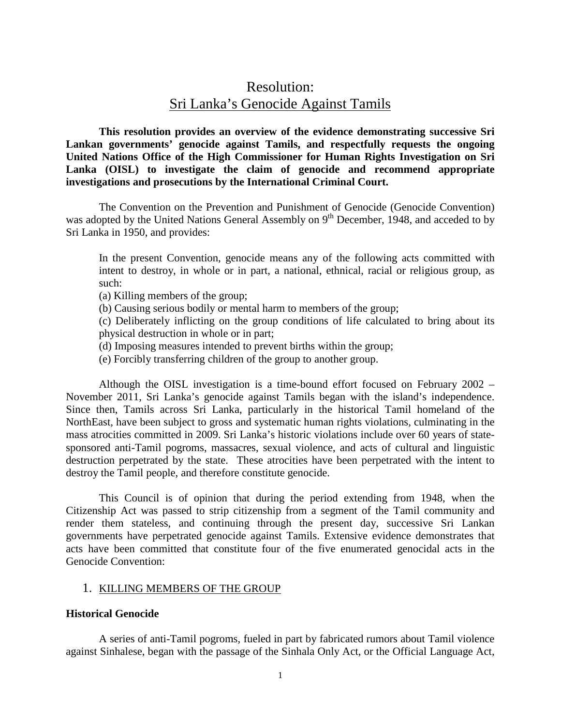# Resolution: Sri Lanka's Genocide Against Tamils

**This resolution provides an overview of the evidence demonstrating successive Sri Lankan governments' genocide against Tamils, and respectfully requests the ongoing United Nations Office of the High Commissioner for Human Rights Investigation on Sri Lanka (OISL) to investigate the claim of genocide and recommend appropriate investigations and prosecutions by the International Criminal Court.**

The Convention on the Prevention and Punishment of Genocide (Genocide Convention) was adopted by the United Nations General Assembly on  $9<sup>th</sup>$  December, 1948, and acceded to by Sri Lanka in 1950, and provides:

In the present Convention, genocide means any of the following acts committed with intent to destroy, in whole or in part, a national, ethnical, racial or religious group, as such:

(a) Killing members of the group;

(b) Causing serious bodily or mental harm to members of the group;

(c) Deliberately inflicting on the group conditions of life calculated to bring about its physical destruction in whole or in part;

(d) Imposing measures intended to prevent births within the group;

(e) Forcibly transferring children of the group to another group.

Although the OISL investigation is a time-bound effort focused on February 2002 – November 2011, Sri Lanka's genocide against Tamils began with the island's independence. Since then, Tamils across Sri Lanka, particularly in the historical Tamil homeland of the NorthEast, have been subject to gross and systematic human rights violations, culminating in the mass atrocities committed in 2009. Sri Lanka's historic violations include over 60 years of statesponsored anti-Tamil pogroms, massacres, sexual violence, and acts of cultural and linguistic destruction perpetrated by the state. These atrocities have been perpetrated with the intent to destroy the Tamil people, and therefore constitute genocide.

This Council is of opinion that during the period extending from 1948, when the Citizenship Act was passed to strip citizenship from a segment of the Tamil community and render them stateless, and continuing through the present day, successive Sri Lankan governments have perpetrated genocide against Tamils. Extensive evidence demonstrates that acts have been committed that constitute four of the five enumerated genocidal acts in the Genocide Convention:

# 1. KILLING MEMBERS OF THE GROUP

# **Historical Genocide**

A series of anti-Tamil pogroms, fueled in part by fabricated rumors about Tamil violence against Sinhalese, began with the passage of the Sinhala Only Act, or the Official Language Act,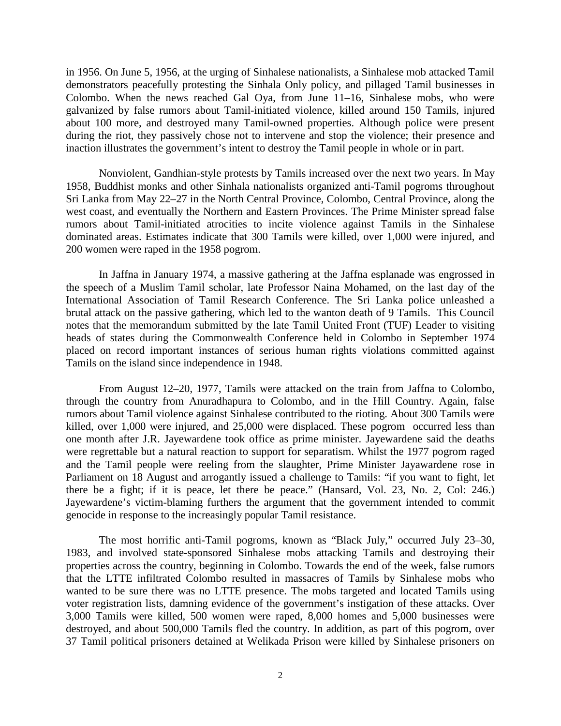in 1956. On June 5, 1956, at the urging of Sinhalese nationalists, a Sinhalese mob attacked Tamil demonstrators peacefully protesting the Sinhala Only policy, and pillaged Tamil businesses in Colombo. When the news reached Gal Oya, from June 11–16, Sinhalese mobs, who were galvanized by false rumors about Tamil-initiated violence, killed around 150 Tamils, injured about 100 more, and destroyed many Tamil-owned properties. Although police were present during the riot, they passively chose not to intervene and stop the violence; their presence and inaction illustrates the government's intent to destroy the Tamil people in whole or in part.

Nonviolent, Gandhian-style protests by Tamils increased over the next two years. In May 1958, Buddhist monks and other Sinhala nationalists organized anti-Tamil pogroms throughout Sri Lanka from May 22–27 in the North Central Province, Colombo, Central Province, along the west coast, and eventually the Northern and Eastern Provinces. The Prime Minister spread false rumors about Tamil-initiated atrocities to incite violence against Tamils in the Sinhalese dominated areas. Estimates indicate that 300 Tamils were killed, over 1,000 were injured, and 200 women were raped in the 1958 pogrom.

In Jaffna in January 1974, a massive gathering at the Jaffna esplanade was engrossed in the speech of a Muslim Tamil scholar, late Professor Naina Mohamed, on the last day of the International Association of Tamil Research Conference. The Sri Lanka police unleashed a brutal attack on the passive gathering, which led to the wanton death of 9 Tamils. This Council notes that the memorandum submitted by the late Tamil United Front (TUF) Leader to visiting heads of states during the Commonwealth Conference held in Colombo in September 1974 placed on record important instances of serious human rights violations committed against Tamils on the island since independence in 1948.

From August 12–20, 1977, Tamils were attacked on the train from Jaffna to Colombo, through the country from Anuradhapura to Colombo, and in the Hill Country. Again, false rumors about Tamil violence against Sinhalese contributed to the rioting. About 300 Tamils were killed, over 1,000 were injured, and 25,000 were displaced. These pogrom occurred less than one month after J.R. Jayewardene took office as prime minister. Jayewardene said the deaths were regrettable but a natural reaction to support for separatism. Whilst the 1977 pogrom raged and the Tamil people were reeling from the slaughter, Prime Minister Jayawardene rose in Parliament on 18 August and arrogantly issued a challenge to Tamils: "if you want to fight, let there be a fight; if it is peace, let there be peace." (Hansard, Vol. 23, No. 2, Col: 246.) Jayewardene's victim-blaming furthers the argument that the government intended to commit genocide in response to the increasingly popular Tamil resistance.

The most horrific anti-Tamil pogroms, known as "Black July," occurred July 23–30, 1983, and involved state-sponsored Sinhalese mobs attacking Tamils and destroying their properties across the country, beginning in Colombo. Towards the end of the week, false rumors that the LTTE infiltrated Colombo resulted in massacres of Tamils by Sinhalese mobs who wanted to be sure there was no LTTE presence. The mobs targeted and located Tamils using voter registration lists, damning evidence of the government's instigation of these attacks. Over 3,000 Tamils were killed, 500 women were raped, 8,000 homes and 5,000 businesses were destroyed, and about 500,000 Tamils fled the country. In addition, as part of this pogrom, over 37 Tamil political prisoners detained at Welikada Prison were killed by Sinhalese prisoners on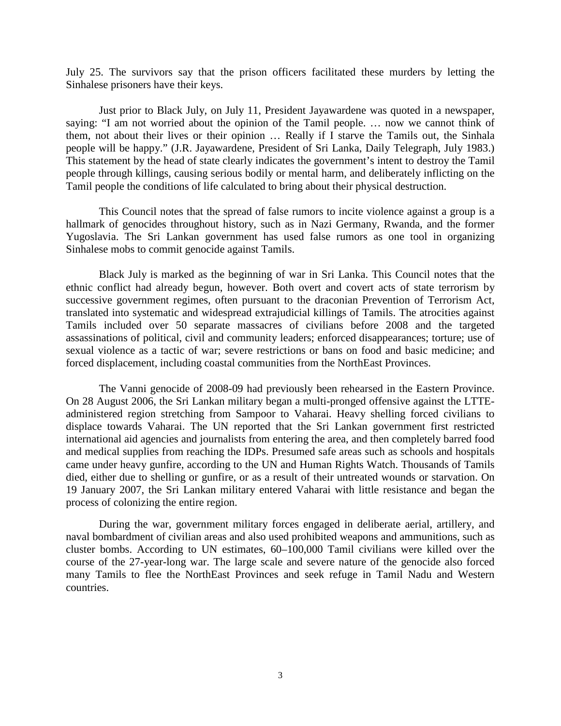July 25. The survivors say that the prison officers facilitated these murders by letting the Sinhalese prisoners have their keys.

Just prior to Black July, on July 11, President Jayawardene was quoted in a newspaper, saying: "I am not worried about the opinion of the Tamil people. … now we cannot think of them, not about their lives or their opinion … Really if I starve the Tamils out, the Sinhala people will be happy." (J.R. Jayawardene, President of Sri Lanka, Daily Telegraph, July 1983.) This statement by the head of state clearly indicates the government's intent to destroy the Tamil people through killings, causing serious bodily or mental harm, and deliberately inflicting on the Tamil people the conditions of life calculated to bring about their physical destruction.

This Council notes that the spread of false rumors to incite violence against a group is a hallmark of genocides throughout history, such as in Nazi Germany, Rwanda, and the former Yugoslavia. The Sri Lankan government has used false rumors as one tool in organizing Sinhalese mobs to commit genocide against Tamils.

Black July is marked as the beginning of war in Sri Lanka. This Council notes that the ethnic conflict had already begun, however. Both overt and covert acts of state terrorism by successive government regimes, often pursuant to the draconian Prevention of Terrorism Act, translated into systematic and widespread extrajudicial killings of Tamils. The atrocities against Tamils included over 50 separate massacres of civilians before 2008 and the targeted assassinations of political, civil and community leaders; enforced disappearances; torture; use of sexual violence as a tactic of war; severe restrictions or bans on food and basic medicine; and forced displacement, including coastal communities from the NorthEast Provinces.

The Vanni genocide of 2008-09 had previously been rehearsed in the Eastern Province. On 28 August 2006, the Sri Lankan military began a multi-pronged offensive against the LTTEadministered region stretching from Sampoor to Vaharai. Heavy shelling forced civilians to displace towards Vaharai. The UN reported that the Sri Lankan government first restricted international aid agencies and journalists from entering the area, and then completely barred food and medical supplies from reaching the IDPs. Presumed safe areas such as schools and hospitals came under heavy gunfire, according to the UN and Human Rights Watch. Thousands of Tamils died, either due to shelling or gunfire, or as a result of their untreated wounds or starvation. On 19 January 2007, the Sri Lankan military entered Vaharai with little resistance and began the process of colonizing the entire region.

During the war, government military forces engaged in deliberate aerial, artillery, and naval bombardment of civilian areas and also used prohibited weapons and ammunitions, such as cluster bombs. According to UN estimates, 60–100,000 Tamil civilians were killed over the course of the 27-year-long war. The large scale and severe nature of the genocide also forced many Tamils to flee the NorthEast Provinces and seek refuge in Tamil Nadu and Western countries.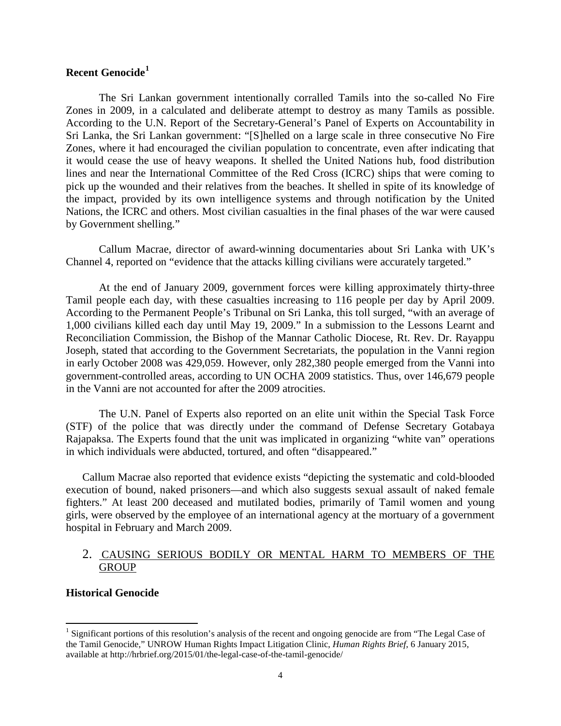# **Recent Genocide[1](#page-3-0)**

The Sri Lankan government intentionally corralled Tamils into the so-called No Fire Zones in 2009, in a calculated and deliberate attempt to destroy as many Tamils as possible. According to the U.N. Report of the Secretary-General's Panel of Experts on Accountability in Sri Lanka, the Sri Lankan government: "[S]helled on a large scale in three consecutive No Fire Zones, where it had encouraged the civilian population to concentrate, even after indicating that it would cease the use of heavy weapons. It shelled the United Nations hub, food distribution lines and near the International Committee of the Red Cross (ICRC) ships that were coming to pick up the wounded and their relatives from the beaches. It shelled in spite of its knowledge of the impact, provided by its own intelligence systems and through notification by the United Nations, the ICRC and others. Most civilian casualties in the final phases of the war were caused by Government shelling."

Callum Macrae, director of award-winning documentaries about Sri Lanka with UK's Channel 4, reported on "evidence that the attacks killing civilians were accurately targeted."

At the end of January 2009, government forces were killing approximately thirty-three Tamil people each day, with these casualties increasing to 116 people per day by April 2009. According to the Permanent People's Tribunal on Sri Lanka, this toll surged, "with an average of 1,000 civilians killed each day until May 19, 2009." In a submission to the Lessons Learnt and Reconciliation Commission, the Bishop of the Mannar Catholic Diocese, Rt. Rev. Dr. Rayappu Joseph, stated that according to the Government Secretariats, the population in the Vanni region in early October 2008 was 429,059. However, only 282,380 people emerged from the Vanni into government-controlled areas, according to UN OCHA 2009 statistics. Thus, over 146,679 people in the Vanni are not accounted for after the 2009 atrocities.

The U.N. Panel of Experts also reported on an elite unit within the Special Task Force (STF) of the police that was directly under the command of Defense Secretary Gotabaya Rajapaksa. The Experts found that the unit was implicated in organizing "white van" operations in which individuals were abducted, tortured, and often "disappeared."

Callum Macrae also reported that evidence exists "depicting the systematic and cold-blooded execution of bound, naked prisoners—and which also suggests sexual assault of naked female fighters." At least 200 deceased and mutilated bodies, primarily of Tamil women and young girls, were observed by the employee of an international agency at the mortuary of a government hospital in February and March 2009.

# 2. CAUSING SERIOUS BODILY OR MENTAL HARM TO MEMBERS OF THE **GROUP**

# **Historical Genocide**

<span id="page-3-0"></span><sup>&</sup>lt;sup>1</sup> Significant portions of this resolution's analysis of the recent and ongoing genocide are from "The Legal Case of the Tamil Genocide," UNROW Human Rights Impact Litigation Clinic, *Human Rights Brief*, 6 January 2015, available at http://hrbrief.org/2015/01/the-legal-case-of-the-tamil-genocide/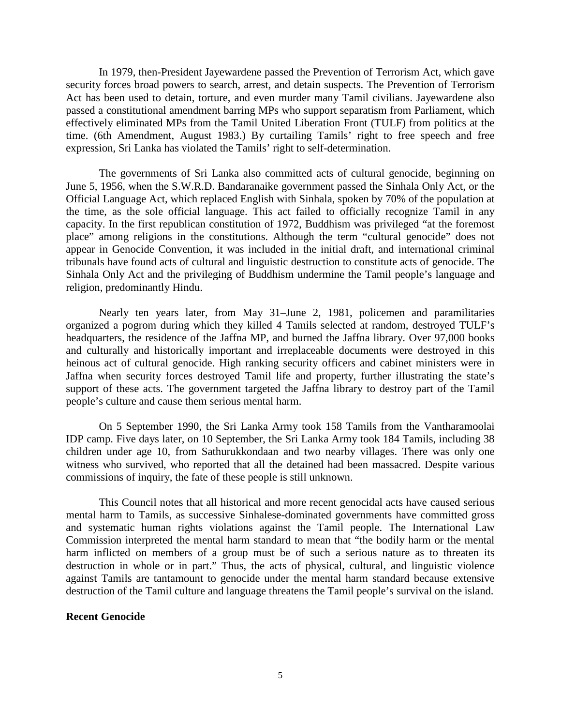In 1979, then-President Jayewardene passed the Prevention of Terrorism Act, which gave security forces broad powers to search, arrest, and detain suspects. The Prevention of Terrorism Act has been used to detain, torture, and even murder many Tamil civilians. Jayewardene also passed a constitutional amendment barring MPs who support separatism from Parliament, which effectively eliminated MPs from the Tamil United Liberation Front (TULF) from politics at the time. (6th Amendment, August 1983.) By curtailing Tamils' right to free speech and free expression, Sri Lanka has violated the Tamils' right to self-determination.

The governments of Sri Lanka also committed acts of cultural genocide, beginning on June 5, 1956, when the S.W.R.D. Bandaranaike government passed the Sinhala Only Act, or the Official Language Act, which replaced English with Sinhala, spoken by 70% of the population at the time, as the sole official language. This act failed to officially recognize Tamil in any capacity. In the first republican constitution of 1972, Buddhism was privileged "at the foremost place" among religions in the constitutions. Although the term "cultural genocide" does not appear in Genocide Convention, it was included in the initial draft, and international criminal tribunals have found acts of cultural and linguistic destruction to constitute acts of genocide. The Sinhala Only Act and the privileging of Buddhism undermine the Tamil people's language and religion, predominantly Hindu.

Nearly ten years later, from May 31–June 2, 1981, policemen and paramilitaries organized a pogrom during which they killed 4 Tamils selected at random, destroyed TULF's headquarters, the residence of the Jaffna MP, and burned the Jaffna library. Over 97,000 books and culturally and historically important and irreplaceable documents were destroyed in this heinous act of cultural genocide. High ranking security officers and cabinet ministers were in Jaffna when security forces destroyed Tamil life and property, further illustrating the state's support of these acts. The government targeted the Jaffna library to destroy part of the Tamil people's culture and cause them serious mental harm.

On 5 September 1990, the Sri Lanka Army took 158 Tamils from the Vantharamoolai IDP camp. Five days later, on 10 September, the Sri Lanka Army took 184 Tamils, including 38 children under age 10, from Sathurukkondaan and two nearby villages. There was only one witness who survived, who reported that all the detained had been massacred. Despite various commissions of inquiry, the fate of these people is still unknown.

This Council notes that all historical and more recent genocidal acts have caused serious mental harm to Tamils, as successive Sinhalese-dominated governments have committed gross and systematic human rights violations against the Tamil people. The International Law Commission interpreted the mental harm standard to mean that "the bodily harm or the mental harm inflicted on members of a group must be of such a serious nature as to threaten its destruction in whole or in part." Thus, the acts of physical, cultural, and linguistic violence against Tamils are tantamount to genocide under the mental harm standard because extensive destruction of the Tamil culture and language threatens the Tamil people's survival on the island.

# **Recent Genocide**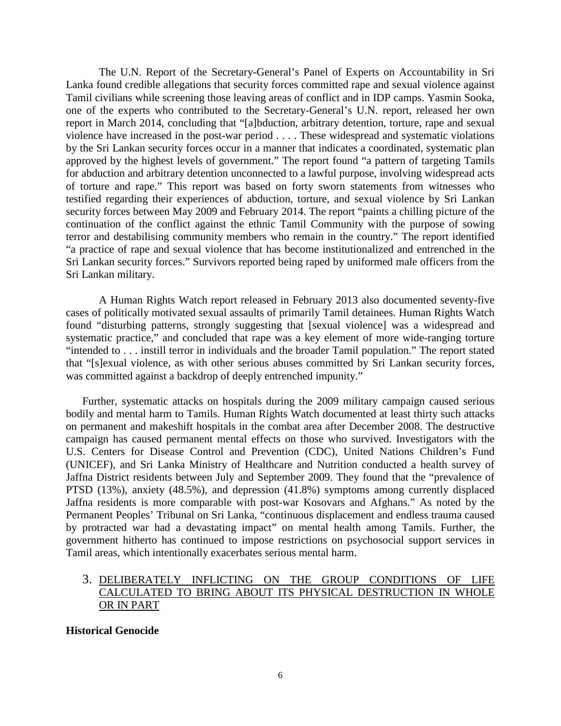The U.N. Report of the Secretary-General's Panel of Experts on Accountability in Sri Lanka found credible allegations that security forces committed rape and sexual violence against Tamil civilians while screening those leaving areas of conflict and in IDP camps. Yasmin Sooka, one of the experts who contributed to the Secretary-General's U.N. report, released her own report in March 2014, concluding that "[a]bduction, arbitrary detention, torture, rape and sexual violence have increased in the post-war period . . . . These widespread and systematic violations by the Sri Lankan security forces occur in a manner that indicates a coordinated, systematic plan approved by the highest levels of government." The report found "a pattern of targeting Tamils for abduction and arbitrary detention unconnected to a lawful purpose, involving widespread acts of torture and rape." This report was based on forty sworn statements from witnesses who testified regarding their experiences of abduction, torture, and sexual violence by Sri Lankan security forces between May 2009 and February 2014. The report "paints a chilling picture of the continuation of the conflict against the ethnic Tamil Community with the purpose of sowing terror and destabilising community members who remain in the country." The report identified "a practice of rape and sexual violence that has become institutionalized and entrenched in the Sri Lankan security forces." Survivors reported being raped by uniformed male officers from the Sri Lankan military.

A Human Rights Watch report released in February 2013 also documented seventy-five cases of politically motivated sexual assaults of primarily Tamil detainees. Human Rights Watch found "disturbing patterns, strongly suggesting that [sexual violence] was a widespread and systematic practice," and concluded that rape was a key element of more wide-ranging torture "intended to . . . instill terror in individuals and the broader Tamil population." The report stated that "[s]exual violence, as with other serious abuses committed by Sri Lankan security forces, was committed against a backdrop of deeply entrenched impunity."

Further, systematic attacks on hospitals during the 2009 military campaign caused serious bodily and mental harm to Tamils. Human Rights Watch documented at least thirty such attacks on permanent and makeshift hospitals in the combat area after December 2008. The destructive campaign has caused permanent mental effects on those who survived. Investigators with the U.S. Centers for Disease Control and Prevention (CDC), United Nations Children's Fund (UNICEF), and Sri Lanka Ministry of Healthcare and Nutrition conducted a health survey of Jaffna District residents between July and September 2009. They found that the "prevalence of PTSD (13%), anxiety (48.5%), and depression (41.8%) symptoms among currently displaced Jaffna residents is more comparable with post-war Kosovars and Afghans." As noted by the Permanent Peoples' Tribunal on Sri Lanka, "continuous displacement and endless trauma caused by protracted war had a devastating impact" on mental health among Tamils. Further, the government hitherto has continued to impose restrictions on psychosocial support services in Tamil areas, which intentionally exacerbates serious mental harm.

# 3. DELIBERATELY INFLICTING ON THE GROUP CONDITIONS OF LIFE CALCULATED TO BRING ABOUT ITS PHYSICAL DESTRUCTION IN WHOLE OR IN PART

# **Historical Genocide**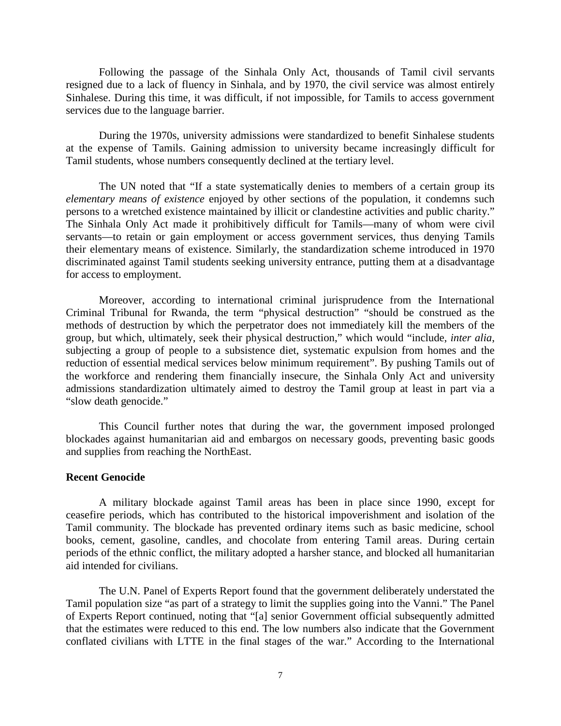Following the passage of the Sinhala Only Act, thousands of Tamil civil servants resigned due to a lack of fluency in Sinhala, and by 1970, the civil service was almost entirely Sinhalese. During this time, it was difficult, if not impossible, for Tamils to access government services due to the language barrier.

During the 1970s, university admissions were standardized to benefit Sinhalese students at the expense of Tamils. Gaining admission to university became increasingly difficult for Tamil students, whose numbers consequently declined at the tertiary level.

The UN noted that "If a state systematically denies to members of a certain group its *elementary means of existence* enjoyed by other sections of the population, it condemns such persons to a wretched existence maintained by illicit or clandestine activities and public charity." The Sinhala Only Act made it prohibitively difficult for Tamils—many of whom were civil servants—to retain or gain employment or access government services, thus denying Tamils their elementary means of existence. Similarly, the standardization scheme introduced in 1970 discriminated against Tamil students seeking university entrance, putting them at a disadvantage for access to employment.

Moreover, according to international criminal jurisprudence from the International Criminal Tribunal for Rwanda, the term "physical destruction" "should be construed as the methods of destruction by which the perpetrator does not immediately kill the members of the group, but which, ultimately, seek their physical destruction," which would "include, *inter alia*, subjecting a group of people to a subsistence diet, systematic expulsion from homes and the reduction of essential medical services below minimum requirement". By pushing Tamils out of the workforce and rendering them financially insecure, the Sinhala Only Act and university admissions standardization ultimately aimed to destroy the Tamil group at least in part via a "slow death genocide."

This Council further notes that during the war, the government imposed prolonged blockades against humanitarian aid and embargos on necessary goods, preventing basic goods and supplies from reaching the NorthEast.

### **Recent Genocide**

A military blockade against Tamil areas has been in place since 1990, except for ceasefire periods, which has contributed to the historical impoverishment and isolation of the Tamil community. The blockade has prevented ordinary items such as basic medicine, school books, cement, gasoline, candles, and chocolate from entering Tamil areas. During certain periods of the ethnic conflict, the military adopted a harsher stance, and blocked all humanitarian aid intended for civilians.

The U.N. Panel of Experts Report found that the government deliberately understated the Tamil population size "as part of a strategy to limit the supplies going into the Vanni." The Panel of Experts Report continued, noting that "[a] senior Government official subsequently admitted that the estimates were reduced to this end. The low numbers also indicate that the Government conflated civilians with LTTE in the final stages of the war." According to the International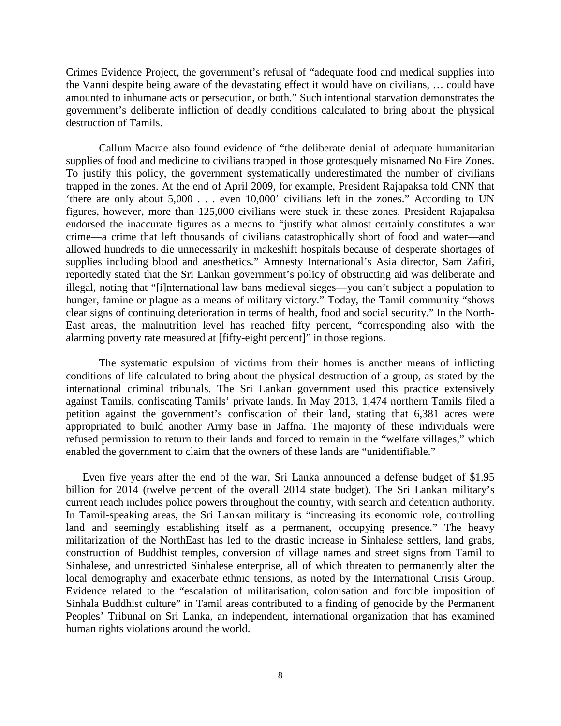Crimes Evidence Project, the government's refusal of "adequate food and medical supplies into the Vanni despite being aware of the devastating effect it would have on civilians, … could have amounted to inhumane acts or persecution, or both." Such intentional starvation demonstrates the government's deliberate infliction of deadly conditions calculated to bring about the physical destruction of Tamils.

Callum Macrae also found evidence of "the deliberate denial of adequate humanitarian supplies of food and medicine to civilians trapped in those grotesquely misnamed No Fire Zones. To justify this policy, the government systematically underestimated the number of civilians trapped in the zones. At the end of April 2009, for example, President Rajapaksa told CNN that 'there are only about 5,000 . . . even 10,000' civilians left in the zones." According to UN figures, however, more than 125,000 civilians were stuck in these zones. President Rajapaksa endorsed the inaccurate figures as a means to "justify what almost certainly constitutes a war crime—a crime that left thousands of civilians catastrophically short of food and water—and allowed hundreds to die unnecessarily in makeshift hospitals because of desperate shortages of supplies including blood and anesthetics." Amnesty International's Asia director, Sam Zafiri, reportedly stated that the Sri Lankan government's policy of obstructing aid was deliberate and illegal, noting that "[i]nternational law bans medieval sieges—you can't subject a population to hunger, famine or plague as a means of military victory." Today, the Tamil community "shows clear signs of continuing deterioration in terms of health, food and social security." In the North-East areas, the malnutrition level has reached fifty percent, "corresponding also with the alarming poverty rate measured at [fifty-eight percent]" in those regions.

The systematic expulsion of victims from their homes is another means of inflicting conditions of life calculated to bring about the physical destruction of a group, as stated by the international criminal tribunals. The Sri Lankan government used this practice extensively against Tamils, confiscating Tamils' private lands. In May 2013, 1,474 northern Tamils filed a petition against the government's confiscation of their land, stating that 6,381 acres were appropriated to build another Army base in Jaffna. The majority of these individuals were refused permission to return to their lands and forced to remain in the "welfare villages," which enabled the government to claim that the owners of these lands are "unidentifiable."

Even five years after the end of the war, Sri Lanka announced a defense budget of \$1.95 billion for 2014 (twelve percent of the overall 2014 state budget). The Sri Lankan military's current reach includes police powers throughout the country, with search and detention authority. In Tamil-speaking areas, the Sri Lankan military is "increasing its economic role, controlling land and seemingly establishing itself as a permanent, occupying presence." The heavy militarization of the NorthEast has led to the drastic increase in Sinhalese settlers, land grabs, construction of Buddhist temples, conversion of village names and street signs from Tamil to Sinhalese, and unrestricted Sinhalese enterprise, all of which threaten to permanently alter the local demography and exacerbate ethnic tensions, as noted by the International Crisis Group. Evidence related to the "escalation of militarisation, colonisation and forcible imposition of Sinhala Buddhist culture" in Tamil areas contributed to a finding of genocide by the Permanent Peoples' Tribunal on Sri Lanka, an independent, international organization that has examined human rights violations around the world.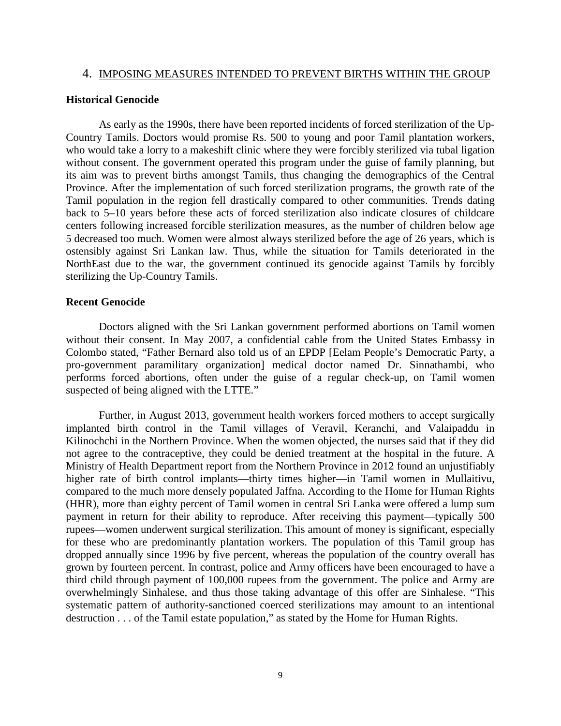#### 4. IMPOSING MEASURES INTENDED TO PREVENT BIRTHS WITHIN THE GROUP

#### **Historical Genocide**

As early as the 1990s, there have been reported incidents of forced sterilization of the Up-Country Tamils. Doctors would promise Rs. 500 to young and poor Tamil plantation workers, who would take a lorry to a makeshift clinic where they were forcibly sterilized via tubal ligation without consent. The government operated this program under the guise of family planning, but its aim was to prevent births amongst Tamils, thus changing the demographics of the Central Province. After the implementation of such forced sterilization programs, the growth rate of the Tamil population in the region fell drastically compared to other communities. Trends dating back to 5–10 years before these acts of forced sterilization also indicate closures of childcare centers following increased forcible sterilization measures, as the number of children below age 5 decreased too much. Women were almost always sterilized before the age of 26 years, which is ostensibly against Sri Lankan law. Thus, while the situation for Tamils deteriorated in the NorthEast due to the war, the government continued its genocide against Tamils by forcibly sterilizing the Up-Country Tamils.

## **Recent Genocide**

Doctors aligned with the Sri Lankan government performed abortions on Tamil women without their consent. In May 2007, a confidential cable from the United States Embassy in Colombo stated, "Father Bernard also told us of an EPDP [Eelam People's Democratic Party, a pro-government paramilitary organization] medical doctor named Dr. Sinnathambi, who performs forced abortions, often under the guise of a regular check-up, on Tamil women suspected of being aligned with the LTTE."

Further, in August 2013, government health workers forced mothers to accept surgically implanted birth control in the Tamil villages of Veravil, Keranchi, and Valaipaddu in Kilinochchi in the Northern Province. When the women objected, the nurses said that if they did not agree to the contraceptive, they could be denied treatment at the hospital in the future. A Ministry of Health Department report from the Northern Province in 2012 found an unjustifiably higher rate of birth control implants—thirty times higher—in Tamil women in Mullaitivu, compared to the much more densely populated Jaffna. According to the Home for Human Rights (HHR), more than eighty percent of Tamil women in central Sri Lanka were offered a lump sum payment in return for their ability to reproduce. After receiving this payment—typically 500 rupees—women underwent surgical sterilization. This amount of money is significant, especially for these who are predominantly plantation workers. The population of this Tamil group has dropped annually since 1996 by five percent, whereas the population of the country overall has grown by fourteen percent. In contrast, police and Army officers have been encouraged to have a third child through payment of 100,000 rupees from the government. The police and Army are overwhelmingly Sinhalese, and thus those taking advantage of this offer are Sinhalese. "This systematic pattern of authority-sanctioned coerced sterilizations may amount to an intentional destruction . . . of the Tamil estate population," as stated by the Home for Human Rights.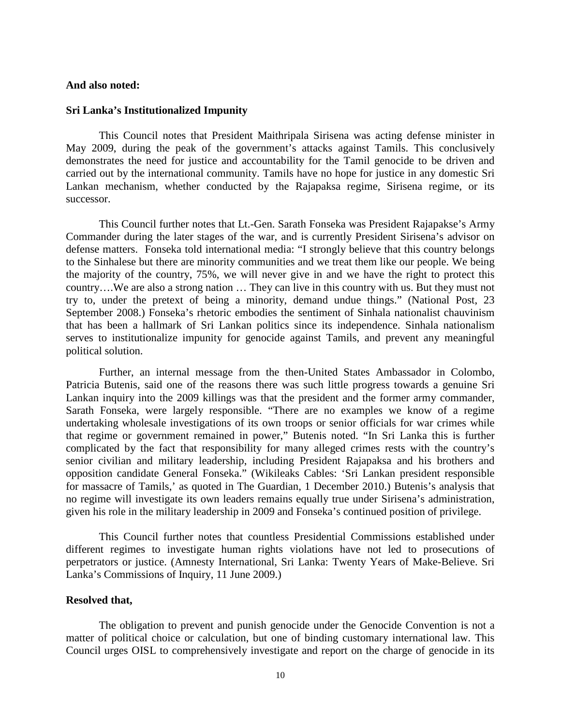## **And also noted:**

### **Sri Lanka's Institutionalized Impunity**

This Council notes that President Maithripala Sirisena was acting defense minister in May 2009, during the peak of the government's attacks against Tamils. This conclusively demonstrates the need for justice and accountability for the Tamil genocide to be driven and carried out by the international community. Tamils have no hope for justice in any domestic Sri Lankan mechanism, whether conducted by the Rajapaksa regime, Sirisena regime, or its successor.

This Council further notes that Lt.-Gen. Sarath Fonseka was President Rajapakse's Army Commander during the later stages of the war, and is currently President Sirisena's advisor on defense matters. Fonseka told international media: "I strongly believe that this country belongs to the Sinhalese but there are minority communities and we treat them like our people. We being the majority of the country, 75%, we will never give in and we have the right to protect this country….We are also a strong nation … They can live in this country with us. But they must not try to, under the pretext of being a minority, demand undue things." (National Post, 23 September 2008.) Fonseka's rhetoric embodies the sentiment of Sinhala nationalist chauvinism that has been a hallmark of Sri Lankan politics since its independence. Sinhala nationalism serves to institutionalize impunity for genocide against Tamils, and prevent any meaningful political solution.

Further, an internal message from the then-United States Ambassador in Colombo, Patricia Butenis, said one of the reasons there was such little progress towards a genuine Sri Lankan inquiry into the 2009 killings was that the president and the former army commander, Sarath Fonseka, were largely responsible. "There are no examples we know of a regime undertaking wholesale investigations of its own troops or senior officials for war crimes while that regime or government remained in power," Butenis noted. "In Sri Lanka this is further complicated by the fact that responsibility for many alleged crimes rests with the country's senior civilian and military leadership, including President Rajapaksa and his brothers and opposition candidate General Fonseka." (Wikileaks Cables: 'Sri Lankan president responsible for massacre of Tamils,' as quoted in The Guardian, 1 December 2010.) Butenis's analysis that no regime will investigate its own leaders remains equally true under Sirisena's administration, given his role in the military leadership in 2009 and Fonseka's continued position of privilege.

This Council further notes that countless Presidential Commissions established under different regimes to investigate human rights violations have not led to prosecutions of perpetrators or justice. (Amnesty International, Sri Lanka: Twenty Years of Make-Believe. Sri Lanka's Commissions of Inquiry, 11 June 2009.)

### **Resolved that,**

The obligation to prevent and punish genocide under the Genocide Convention is not a matter of political choice or calculation, but one of binding customary international law. This Council urges OISL to comprehensively investigate and report on the charge of genocide in its